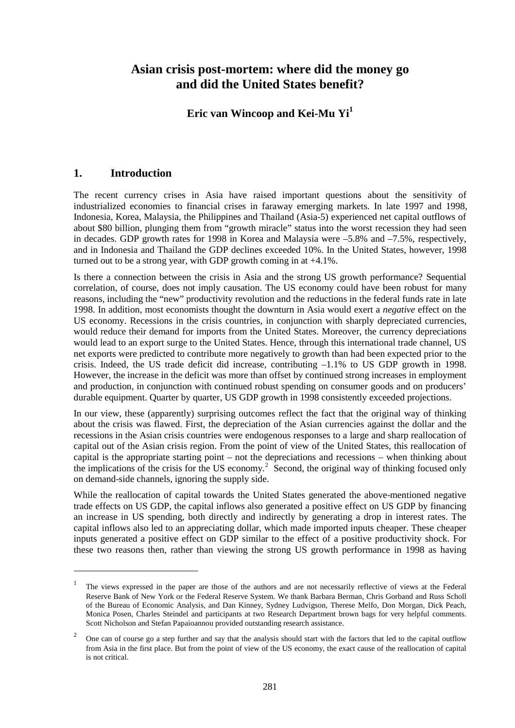# **Asian crisis post-mortem: where did the money go and did the United States benefit?**

# **Eric van Wincoop and Kei-Mu Yi<sup>1</sup>**

# **1. Introduction**

 $\overline{a}$ 

The recent currency crises in Asia have raised important questions about the sensitivity of industrialized economies to financial crises in faraway emerging markets. In late 1997 and 1998, Indonesia, Korea, Malaysia, the Philippines and Thailand (Asia-5) experienced net capital outflows of about \$80 billion, plunging them from "growth miracle" status into the worst recession they had seen in decades. GDP growth rates for 1998 in Korea and Malaysia were –5.8% and –7.5%, respectively, and in Indonesia and Thailand the GDP declines exceeded 10%. In the United States, however, 1998 turned out to be a strong year, with GDP growth coming in at +4.1%.

Is there a connection between the crisis in Asia and the strong US growth performance? Sequential correlation, of course, does not imply causation. The US economy could have been robust for many reasons, including the "new" productivity revolution and the reductions in the federal funds rate in late 1998. In addition, most economists thought the downturn in Asia would exert a *negative* effect on the US economy. Recessions in the crisis countries, in conjunction with sharply depreciated currencies, would reduce their demand for imports from the United States. Moreover, the currency depreciations would lead to an export surge to the United States. Hence, through this international trade channel, US net exports were predicted to contribute more negatively to growth than had been expected prior to the crisis. Indeed, the US trade deficit did increase, contributing –1.1% to US GDP growth in 1998. However, the increase in the deficit was more than offset by continued strong increases in employment and production, in conjunction with continued robust spending on consumer goods and on producers' durable equipment. Quarter by quarter, US GDP growth in 1998 consistently exceeded projections.

In our view, these (apparently) surprising outcomes reflect the fact that the original way of thinking about the crisis was flawed. First, the depreciation of the Asian currencies against the dollar and the recessions in the Asian crisis countries were endogenous responses to a large and sharp reallocation of capital out of the Asian crisis region. From the point of view of the United States, this reallocation of capital is the appropriate starting point – not the depreciations and recessions – when thinking about the implications of the crisis for the US economy.<sup>2</sup> Second, the original way of thinking focused only on demand-side channels, ignoring the supply side.

While the reallocation of capital towards the United States generated the above-mentioned negative trade effects on US GDP, the capital inflows also generated a positive effect on US GDP by financing an increase in US spending, both directly and indirectly by generating a drop in interest rates. The capital inflows also led to an appreciating dollar, which made imported inputs cheaper. These cheaper inputs generated a positive effect on GDP similar to the effect of a positive productivity shock. For these two reasons then, rather than viewing the strong US growth performance in 1998 as having

<sup>&</sup>lt;sup>1</sup> The views expressed in the paper are those of the authors and are not necessarily reflective of views at the Federal Reserve Bank of New York or the Federal Reserve System. We thank Barbara Berman, Chris Gorband and Russ Scholl of the Bureau of Economic Analysis, and Dan Kinney, Sydney Ludvigson, Therese Melfo, Don Morgan, Dick Peach, Monica Posen, Charles Steindel and participants at two Research Department brown bags for very helpful comments. Scott Nicholson and Stefan Papaioannou provided outstanding research assistance.

<sup>2</sup> One can of course go a step further and say that the analysis should start with the factors that led to the capital outflow from Asia in the first place. But from the point of view of the US economy, the exact cause of the reallocation of capital is not critical.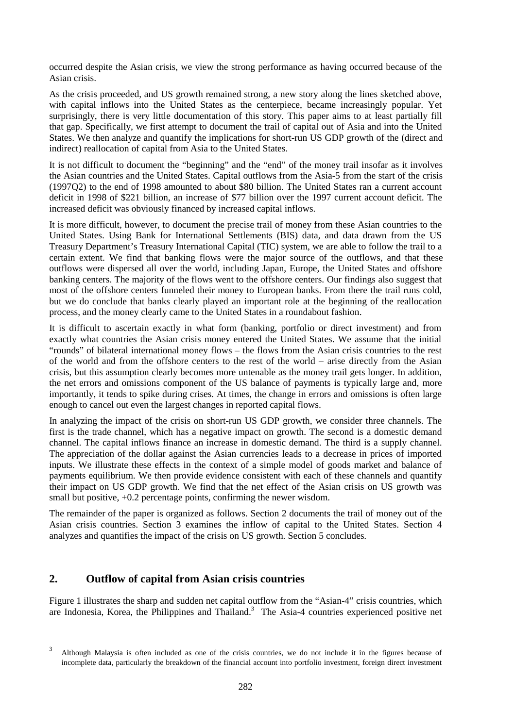occurred despite the Asian crisis, we view the strong performance as having occurred because of the Asian crisis.

As the crisis proceeded, and US growth remained strong, a new story along the lines sketched above, with capital inflows into the United States as the centerpiece, became increasingly popular. Yet surprisingly, there is very little documentation of this story. This paper aims to at least partially fill that gap. Specifically, we first attempt to document the trail of capital out of Asia and into the United States. We then analyze and quantify the implications for short-run US GDP growth of the (direct and indirect) reallocation of capital from Asia to the United States.

It is not difficult to document the "beginning" and the "end" of the money trail insofar as it involves the Asian countries and the United States. Capital outflows from the Asia-5 from the start of the crisis (1997Q2) to the end of 1998 amounted to about \$80 billion. The United States ran a current account deficit in 1998 of \$221 billion, an increase of \$77 billion over the 1997 current account deficit. The increased deficit was obviously financed by increased capital inflows.

It is more difficult, however, to document the precise trail of money from these Asian countries to the United States. Using Bank for International Settlements (BIS) data, and data drawn from the US Treasury Department's Treasury International Capital (TIC) system, we are able to follow the trail to a certain extent. We find that banking flows were the major source of the outflows, and that these outflows were dispersed all over the world, including Japan, Europe, the United States and offshore banking centers. The majority of the flows went to the offshore centers. Our findings also suggest that most of the offshore centers funneled their money to European banks. From there the trail runs cold, but we do conclude that banks clearly played an important role at the beginning of the reallocation process, and the money clearly came to the United States in a roundabout fashion.

It is difficult to ascertain exactly in what form (banking, portfolio or direct investment) and from exactly what countries the Asian crisis money entered the United States. We assume that the initial "rounds" of bilateral international money flows – the flows from the Asian crisis countries to the rest of the world and from the offshore centers to the rest of the world – arise directly from the Asian crisis, but this assumption clearly becomes more untenable as the money trail gets longer. In addition, the net errors and omissions component of the US balance of payments is typically large and, more importantly, it tends to spike during crises. At times, the change in errors and omissions is often large enough to cancel out even the largest changes in reported capital flows.

In analyzing the impact of the crisis on short-run US GDP growth, we consider three channels. The first is the trade channel, which has a negative impact on growth. The second is a domestic demand channel. The capital inflows finance an increase in domestic demand. The third is a supply channel. The appreciation of the dollar against the Asian currencies leads to a decrease in prices of imported inputs. We illustrate these effects in the context of a simple model of goods market and balance of payments equilibrium. We then provide evidence consistent with each of these channels and quantify their impact on US GDP growth. We find that the net effect of the Asian crisis on US growth was small but positive,  $+0.2$  percentage points, confirming the newer wisdom.

The remainder of the paper is organized as follows. Section 2 documents the trail of money out of the Asian crisis countries. Section 3 examines the inflow of capital to the United States. Section 4 analyzes and quantifies the impact of the crisis on US growth. Section 5 concludes.

## **2. Outflow of capital from Asian crisis countries**

 $\overline{a}$ 

Figure 1 illustrates the sharp and sudden net capital outflow from the "Asian-4" crisis countries, which are Indonesia, Korea, the Philippines and Thailand.<sup>3</sup> The Asia-4 countries experienced positive net

<sup>3</sup> Although Malaysia is often included as one of the crisis countries, we do not include it in the figures because of incomplete data, particularly the breakdown of the financial account into portfolio investment, foreign direct investment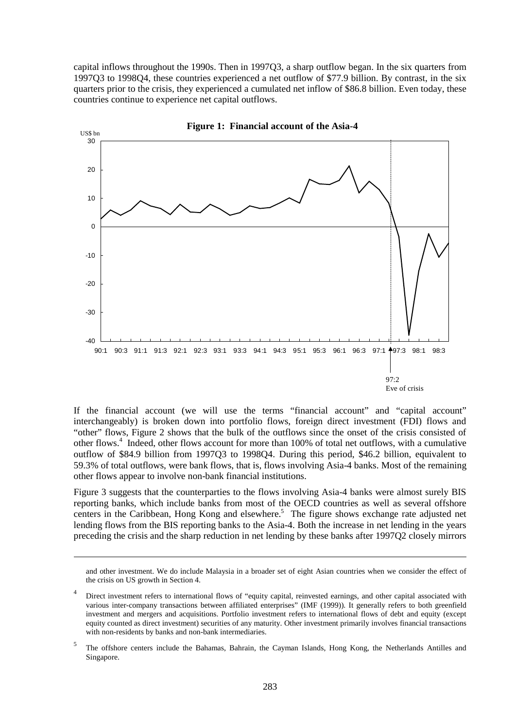capital inflows throughout the 1990s. Then in 1997Q3, a sharp outflow began. In the six quarters from 1997Q3 to 1998Q4, these countries experienced a net outflow of \$77.9 billion. By contrast, in the six quarters prior to the crisis, they experienced a cumulated net inflow of \$86.8 billion. Even today, these countries continue to experience net capital outflows.



If the financial account (we will use the terms "financial account" and "capital account" interchangeably) is broken down into portfolio flows, foreign direct investment (FDI) flows and "other" flows, Figure 2 shows that the bulk of the outflows since the onset of the crisis consisted of other flows.<sup>4</sup> Indeed, other flows account for more than 100% of total net outflows, with a cumulative outflow of \$84.9 billion from 1997Q3 to 1998Q4. During this period, \$46.2 billion, equivalent to 59.3% of total outflows, were bank flows, that is, flows involving Asia-4 banks. Most of the remaining other flows appear to involve non-bank financial institutions.

Figure 3 suggests that the counterparties to the flows involving Asia-4 banks were almost surely BIS reporting banks, which include banks from most of the OECD countries as well as several offshore centers in the Caribbean, Hong Kong and elsewhere.<sup>5</sup> The figure shows exchange rate adjusted net lending flows from the BIS reporting banks to the Asia-4. Both the increase in net lending in the years preceding the crisis and the sharp reduction in net lending by these banks after 1997Q2 closely mirrors

 $\overline{a}$ 

and other investment. We do include Malaysia in a broader set of eight Asian countries when we consider the effect of the crisis on US growth in Section 4.

Direct investment refers to international flows of "equity capital, reinvested earnings, and other capital associated with various inter-company transactions between affiliated enterprises" (IMF (1999)). It generally refers to both greenfield investment and mergers and acquisitions. Portfolio investment refers to international flows of debt and equity (except equity counted as direct investment) securities of any maturity. Other investment primarily involves financial transactions with non-residents by banks and non-bank intermediaries.

<sup>&</sup>lt;sup>5</sup> The offshore centers include the Bahamas, Bahrain, the Cayman Islands, Hong Kong, the Netherlands Antilles and Singapore.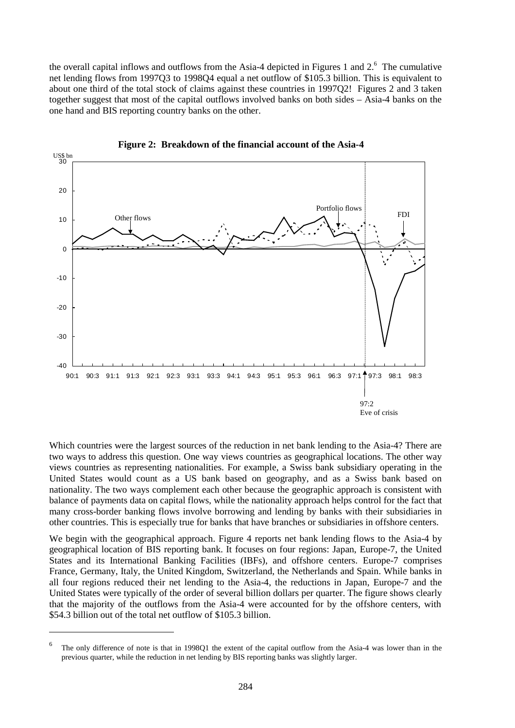the overall capital inflows and outflows from the Asia-4 depicted in Figures 1 and  $2<sup>6</sup>$ . The cumulative net lending flows from 1997Q3 to 1998Q4 equal a net outflow of \$105.3 billion. This is equivalent to about one third of the total stock of claims against these countries in 1997Q2! Figures 2 and 3 taken together suggest that most of the capital outflows involved banks on both sides – Asia-4 banks on the one hand and BIS reporting country banks on the other.



**Figure 2: Breakdown of the financial account of the Asia-4**

Which countries were the largest sources of the reduction in net bank lending to the Asia-4? There are two ways to address this question. One way views countries as geographical locations. The other way views countries as representing nationalities. For example, a Swiss bank subsidiary operating in the United States would count as a US bank based on geography, and as a Swiss bank based on nationality. The two ways complement each other because the geographic approach is consistent with balance of payments data on capital flows, while the nationality approach helps control for the fact that many cross-border banking flows involve borrowing and lending by banks with their subsidiaries in other countries. This is especially true for banks that have branches or subsidiaries in offshore centers.

We begin with the geographical approach. Figure 4 reports net bank lending flows to the Asia-4 by geographical location of BIS reporting bank. It focuses on four regions: Japan, Europe-7, the United States and its International Banking Facilities (IBFs), and offshore centers. Europe-7 comprises France, Germany, Italy, the United Kingdom, Switzerland, the Netherlands and Spain. While banks in all four regions reduced their net lending to the Asia-4, the reductions in Japan, Europe-7 and the United States were typically of the order of several billion dollars per quarter. The figure shows clearly that the majority of the outflows from the Asia-4 were accounted for by the offshore centers, with \$54.3 billion out of the total net outflow of \$105.3 billion.

 $\overline{a}$ 

<sup>6</sup> The only difference of note is that in 1998Q1 the extent of the capital outflow from the Asia-4 was lower than in the previous quarter, while the reduction in net lending by BIS reporting banks was slightly larger.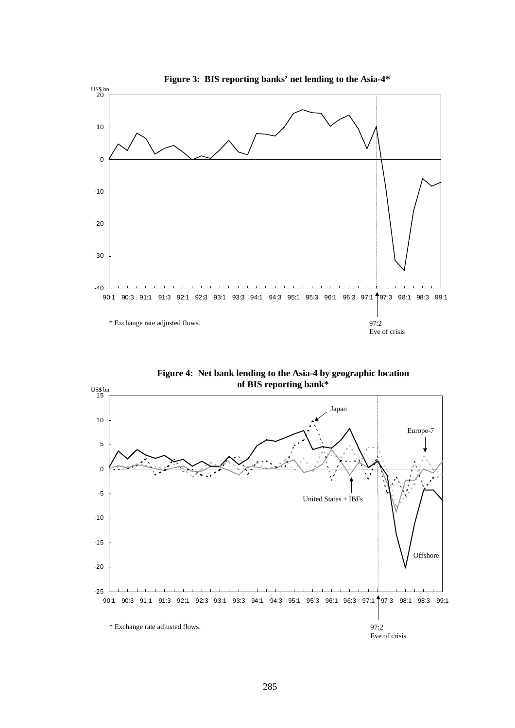

**Figure 4: Net bank lending to the Asia-4 by geographic location of BIS reporting bank\***

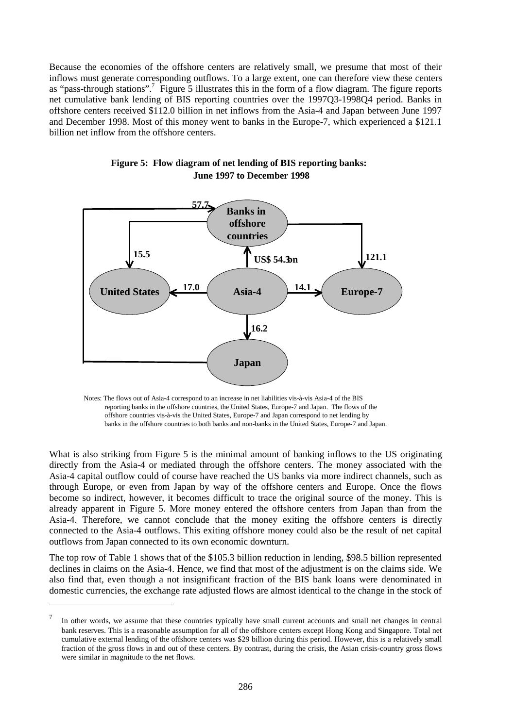Because the economies of the offshore centers are relatively small, we presume that most of their inflows must generate corresponding outflows. To a large extent, one can therefore view these centers as "pass-through stations".<sup>7</sup> Figure 5 illustrates this in the form of a flow diagram. The figure reports net cumulative bank lending of BIS reporting countries over the 1997Q3-1998Q4 period. Banks in offshore centers received \$112.0 billion in net inflows from the Asia-4 and Japan between June 1997 and December 1998. Most of this money went to banks in the Europe-7, which experienced a \$121.1 billion net inflow from the offshore centers.



**Figure 5: Flow diagram of net lending of BIS reporting banks: June 1997 to December 1998**

Notes: The flows out of Asia-4 correspond to an increase in net liabilities vis-à-vis Asia-4 of the BIS reporting banks in the offshore countries, the United States, Europe-7 and Japan. The flows of the offshore countries vis-à-vis the United States, Europe-7 and Japan correspond to net lending by banks in the offshore countries to both banks and non-banks in the United States, Europe-7 and Japan.

What is also striking from Figure 5 is the minimal amount of banking inflows to the US originating directly from the Asia-4 or mediated through the offshore centers. The money associated with the Asia-4 capital outflow could of course have reached the US banks via more indirect channels, such as through Europe, or even from Japan by way of the offshore centers and Europe. Once the flows become so indirect, however, it becomes difficult to trace the original source of the money. This is already apparent in Figure 5. More money entered the offshore centers from Japan than from the Asia-4. Therefore, we cannot conclude that the money exiting the offshore centers is directly connected to the Asia-4 outflows. This exiting offshore money could also be the result of net capital outflows from Japan connected to its own economic downturn.

The top row of Table 1 shows that of the \$105.3 billion reduction in lending, \$98.5 billion represented declines in claims on the Asia-4. Hence, we find that most of the adjustment is on the claims side. We also find that, even though a not insignificant fraction of the BIS bank loans were denominated in domestic currencies, the exchange rate adjusted flows are almost identical to the change in the stock of

**.** 

In other words, we assume that these countries typically have small current accounts and small net changes in central bank reserves. This is a reasonable assumption for all of the offshore centers except Hong Kong and Singapore. Total net cumulative external lending of the offshore centers was \$29 billion during this period. However, this is a relatively small fraction of the gross flows in and out of these centers. By contrast, during the crisis, the Asian crisis-country gross flows were similar in magnitude to the net flows.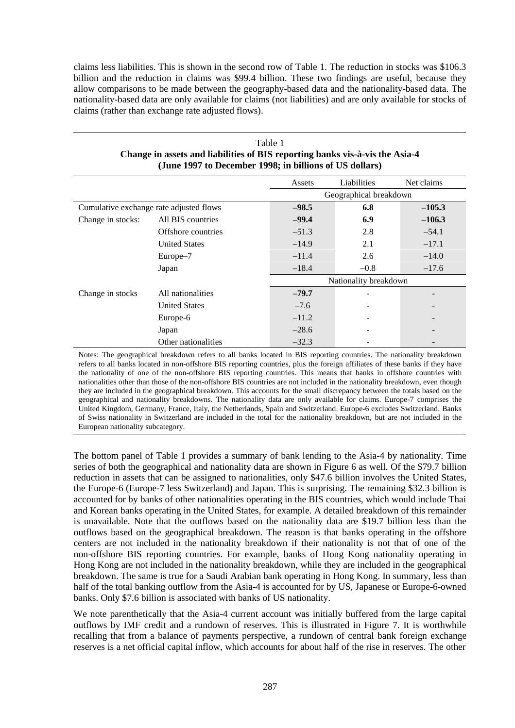claims less liabilities. This is shown in the second row of Table 1. The reduction in stocks was \$106.3 billion and the reduction in claims was \$99.4 billion. These two findings are useful, because they allow comparisons to be made between the geography-based data and the nationality-based data. The nationality-based data are only available for claims (not liabilities) and are only available for stocks of claims (rather than exchange rate adjusted flows).

| (June 1997 to December 1998; in billions of US dollars) |                      |         |                        |                          |
|---------------------------------------------------------|----------------------|---------|------------------------|--------------------------|
|                                                         |                      | Assets  | Liabilities            | Net claims               |
|                                                         |                      |         | Geographical breakdown |                          |
| Cumulative exchange rate adjusted flows                 |                      | $-98.5$ | 6.8                    | $-105.3$                 |
| Change in stocks:                                       | All BIS countries    | $-99.4$ | 6.9                    | $-106.3$                 |
|                                                         | Offshore countries   | $-51.3$ | 2.8                    | $-54.1$                  |
|                                                         | <b>United States</b> | $-14.9$ | 2.1                    | $-17.1$                  |
|                                                         | Europe-7             | $-11.4$ | 2.6                    | $-14.0$                  |
|                                                         | Japan                | $-18.4$ | $-0.8$                 | $-17.6$                  |
|                                                         |                      |         | Nationality breakdown  |                          |
| Change in stocks                                        | All nationalities    | $-79.7$ |                        | $\overline{\phantom{a}}$ |
|                                                         | <b>United States</b> | $-7.6$  |                        | $\overline{\phantom{a}}$ |
|                                                         | Europe-6             | $-11.2$ |                        | $\overline{\phantom{a}}$ |
|                                                         | Japan                | $-28.6$ |                        |                          |
|                                                         | Other nationalities  | $-32.3$ |                        |                          |

## Table 1 **Change in assets and liabilities of BIS reporting banks vis-à-vis the Asia-4 (June 1997 to December 1998; in billions of US dollars)**

Notes: The geographical breakdown refers to all banks located in BIS reporting countries. The nationality breakdown refers to all banks located in non-offshore BIS reporting countries, plus the foreign affiliates of these banks if they have the nationality of one of the non-offshore BIS reporting countries. This means that banks in offshore countries with nationalities other than those of the non-offshore BIS countries are not included in the nationality breakdown, even though they are included in the geographical breakdown. This accounts for the small discrepancy between the totals based on the geographical and nationality breakdowns. The nationality data are only available for claims. Europe-7 comprises the United Kingdom, Germany, France, Italy, the Netherlands, Spain and Switzerland. Europe-6 excludes Switzerland. Banks of Swiss nationality in Switzerland are included in the total for the nationality breakdown, but are not included in the European nationality subcategory.

The bottom panel of Table 1 provides a summary of bank lending to the Asia-4 by nationality. Time series of both the geographical and nationality data are shown in Figure 6 as well. Of the \$79.7 billion reduction in assets that can be assigned to nationalities, only \$47.6 billion involves the United States, the Europe-6 (Europe-7 less Switzerland) and Japan. This is surprising. The remaining \$32.3 billion is accounted for by banks of other nationalities operating in the BIS countries, which would include Thai and Korean banks operating in the United States, for example. A detailed breakdown of this remainder is unavailable. Note that the outflows based on the nationality data are \$19.7 billion less than the outflows based on the geographical breakdown. The reason is that banks operating in the offshore centers are not included in the nationality breakdown if their nationality is not that of one of the non-offshore BIS reporting countries. For example, banks of Hong Kong nationality operating in Hong Kong are not included in the nationality breakdown, while they are included in the geographical breakdown. The same is true for a Saudi Arabian bank operating in Hong Kong. In summary, less than half of the total banking outflow from the Asia-4 is accounted for by US, Japanese or Europe-6-owned banks. Only \$7.6 billion is associated with banks of US nationality.

We note parenthetically that the Asia-4 current account was initially buffered from the large capital outflows by IMF credit and a rundown of reserves. This is illustrated in Figure 7. It is worthwhile recalling that from a balance of payments perspective, a rundown of central bank foreign exchange reserves is a net official capital inflow, which accounts for about half of the rise in reserves. The other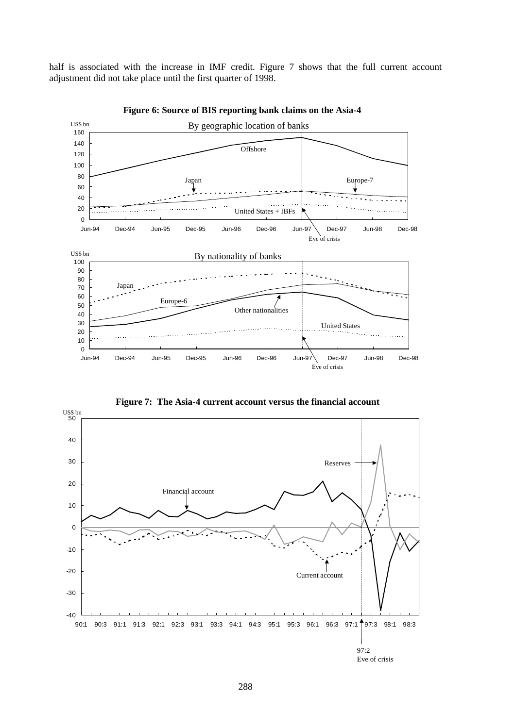half is associated with the increase in IMF credit. Figure 7 shows that the full current account adjustment did not take place until the first quarter of 1998.



**Figure 6: Source of BIS reporting bank claims on the Asia-4**

**Figure 7: The Asia-4 current account versus the financial account**

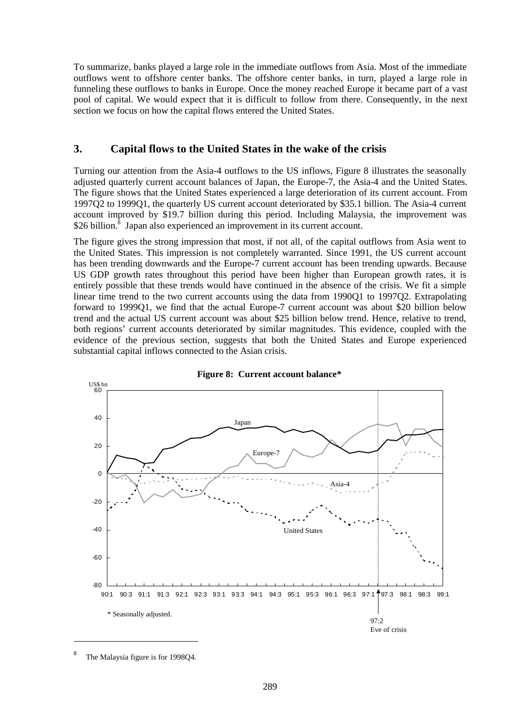To summarize, banks played a large role in the immediate outflows from Asia. Most of the immediate outflows went to offshore center banks. The offshore center banks, in turn, played a large role in funneling these outflows to banks in Europe. Once the money reached Europe it became part of a vast pool of capital. We would expect that it is difficult to follow from there. Consequently, in the next section we focus on how the capital flows entered the United States.

## **3. Capital flows to the United States in the wake of the crisis**

Turning our attention from the Asia-4 outflows to the US inflows, Figure 8 illustrates the seasonally adjusted quarterly current account balances of Japan, the Europe-7, the Asia-4 and the United States. The figure shows that the United States experienced a large deterioration of its current account. From 1997Q2 to 1999Q1, the quarterly US current account deteriorated by \$35.1 billion. The Asia-4 current account improved by \$19.7 billion during this period. Including Malaysia, the improvement was \$26 billion.<sup>8</sup> Japan also experienced an improvement in its current account.

The figure gives the strong impression that most, if not all, of the capital outflows from Asia went to the United States. This impression is not completely warranted. Since 1991, the US current account has been trending downwards and the Europe-7 current account has been trending upwards. Because US GDP growth rates throughout this period have been higher than European growth rates, it is entirely possible that these trends would have continued in the absence of the crisis. We fit a simple linear time trend to the two current accounts using the data from 1990Q1 to 1997Q2. Extrapolating forward to 1999Q1, we find that the actual Europe-7 current account was about \$20 billion below trend and the actual US current account was about \$25 billion below trend. Hence, relative to trend, both regions' current accounts deteriorated by similar magnitudes. This evidence, coupled with the evidence of the previous section, suggests that both the United States and Europe experienced substantial capital inflows connected to the Asian crisis.





 $\overline{a}$ 

The Malaysia figure is for 1998Q4.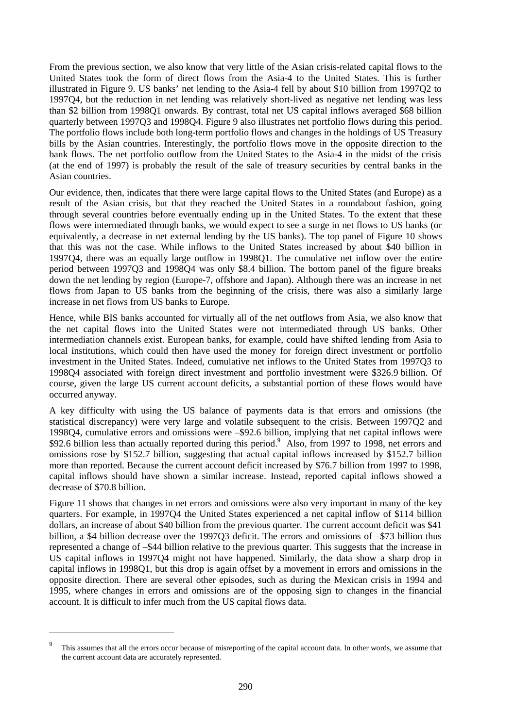From the previous section, we also know that very little of the Asian crisis-related capital flows to the United States took the form of direct flows from the Asia-4 to the United States. This is further illustrated in Figure 9. US banks' net lending to the Asia-4 fell by about \$10 billion from 1997Q2 to 1997Q4, but the reduction in net lending was relatively short-lived as negative net lending was less than \$2 billion from 1998Q1 onwards. By contrast, total net US capital inflows averaged \$68 billion quarterly between 1997Q3 and 1998Q4. Figure 9 also illustrates net portfolio flows during this period. The portfolio flows include both long-term portfolio flows and changes in the holdings of US Treasury bills by the Asian countries. Interestingly, the portfolio flows move in the opposite direction to the bank flows. The net portfolio outflow from the United States to the Asia-4 in the midst of the crisis (at the end of 1997) is probably the result of the sale of treasury securities by central banks in the Asian countries.

Our evidence, then, indicates that there were large capital flows to the United States (and Europe) as a result of the Asian crisis, but that they reached the United States in a roundabout fashion, going through several countries before eventually ending up in the United States. To the extent that these flows were intermediated through banks, we would expect to see a surge in net flows to US banks (or equivalently, a decrease in net external lending by the US banks). The top panel of Figure 10 shows that this was not the case. While inflows to the United States increased by about \$40 billion in 1997Q4, there was an equally large outflow in 1998Q1. The cumulative net inflow over the entire period between 1997Q3 and 1998Q4 was only \$8.4 billion. The bottom panel of the figure breaks down the net lending by region (Europe-7, offshore and Japan). Although there was an increase in net flows from Japan to US banks from the beginning of the crisis, there was also a similarly large increase in net flows from US banks to Europe.

Hence, while BIS banks accounted for virtually all of the net outflows from Asia, we also know that the net capital flows into the United States were not intermediated through US banks. Other intermediation channels exist. European banks, for example, could have shifted lending from Asia to local institutions, which could then have used the money for foreign direct investment or portfolio investment in the United States. Indeed, cumulative net inflows to the United States from 1997Q3 to 1998Q4 associated with foreign direct investment and portfolio investment were \$326.9 billion. Of course, given the large US current account deficits, a substantial portion of these flows would have occurred anyway.

A key difficulty with using the US balance of payments data is that errors and omissions (the statistical discrepancy) were very large and volatile subsequent to the crisis. Between 1997Q2 and 1998Q4, cumulative errors and omissions were –\$92.6 billion, implying that net capital inflows were \$92.6 billion less than actually reported during this period.<sup>9</sup> Also, from 1997 to 1998, net errors and omissions rose by \$152.7 billion, suggesting that actual capital inflows increased by \$152.7 billion more than reported. Because the current account deficit increased by \$76.7 billion from 1997 to 1998, capital inflows should have shown a similar increase. Instead, reported capital inflows showed a decrease of \$70.8 billion.

Figure 11 shows that changes in net errors and omissions were also very important in many of the key quarters. For example, in 1997Q4 the United States experienced a net capital inflow of \$114 billion dollars, an increase of about \$40 billion from the previous quarter. The current account deficit was \$41 billion, a \$4 billion decrease over the 1997Q3 deficit. The errors and omissions of –\$73 billion thus represented a change of –\$44 billion relative to the previous quarter. This suggests that the increase in US capital inflows in 1997Q4 might not have happened. Similarly, the data show a sharp drop in capital inflows in 1998Q1, but this drop is again offset by a movement in errors and omissions in the opposite direction. There are several other episodes, such as during the Mexican crisis in 1994 and 1995, where changes in errors and omissions are of the opposing sign to changes in the financial account. It is difficult to infer much from the US capital flows data.

 $\overline{a}$ 

This assumes that all the errors occur because of misreporting of the capital account data. In other words, we assume that the current account data are accurately represented.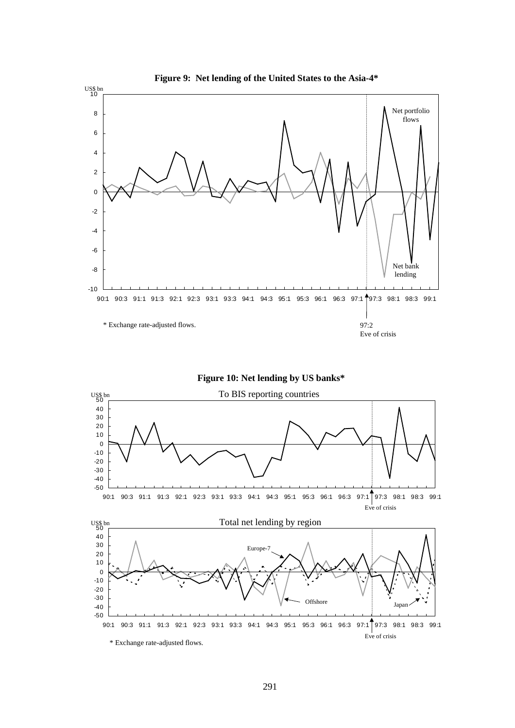

**Figure 10: Net lending by US banks\***



291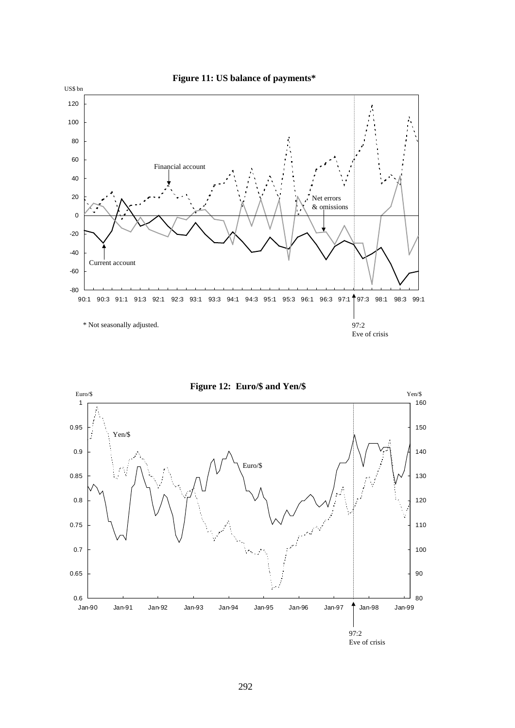

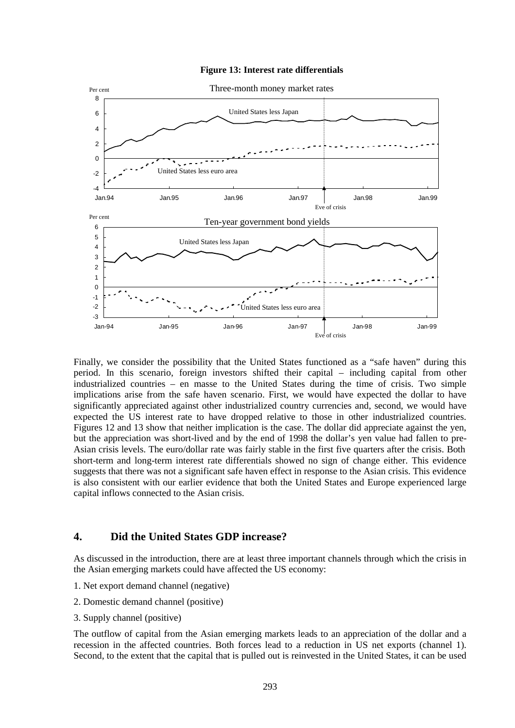#### **Figure 13: Interest rate differentials**



Finally, we consider the possibility that the United States functioned as a "safe haven" during this period. In this scenario, foreign investors shifted their capital – including capital from other industrialized countries – en masse to the United States during the time of crisis. Two simple implications arise from the safe haven scenario. First, we would have expected the dollar to have significantly appreciated against other industrialized country currencies and, second, we would have expected the US interest rate to have dropped relative to those in other industrialized countries. Figures 12 and 13 show that neither implication is the case. The dollar did appreciate against the yen, but the appreciation was short-lived and by the end of 1998 the dollar's yen value had fallen to pre-Asian crisis levels. The euro/dollar rate was fairly stable in the first five quarters after the crisis. Both short-term and long-term interest rate differentials showed no sign of change either. This evidence suggests that there was not a significant safe haven effect in response to the Asian crisis. This evidence is also consistent with our earlier evidence that both the United States and Europe experienced large capital inflows connected to the Asian crisis.

## **4. Did the United States GDP increase?**

As discussed in the introduction, there are at least three important channels through which the crisis in the Asian emerging markets could have affected the US economy:

- 1. Net export demand channel (negative)
- 2. Domestic demand channel (positive)
- 3. Supply channel (positive)

The outflow of capital from the Asian emerging markets leads to an appreciation of the dollar and a recession in the affected countries. Both forces lead to a reduction in US net exports (channel 1). Second, to the extent that the capital that is pulled out is reinvested in the United States, it can be used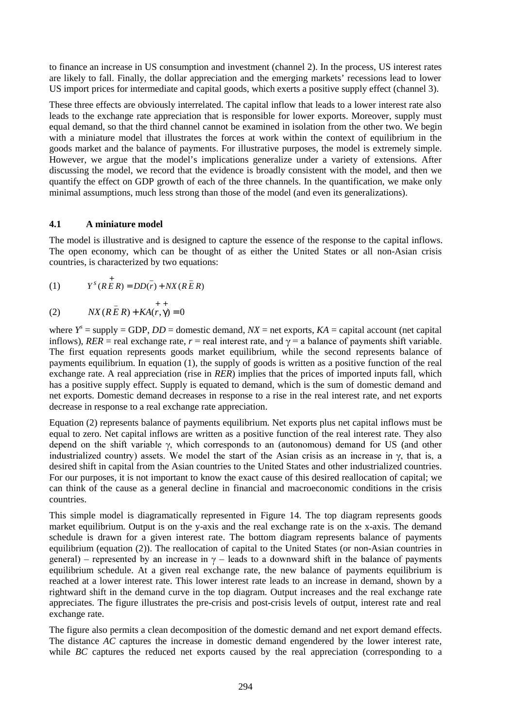to finance an increase in US consumption and investment (channel 2). In the process, US interest rates are likely to fall. Finally, the dollar appreciation and the emerging markets' recessions lead to lower US import prices for intermediate and capital goods, which exerts a positive supply effect (channel 3).

These three effects are obviously interrelated. The capital inflow that leads to a lower interest rate also leads to the exchange rate appreciation that is responsible for lower exports. Moreover, supply must equal demand, so that the third channel cannot be examined in isolation from the other two. We begin with a miniature model that illustrates the forces at work within the context of equilibrium in the goods market and the balance of payments. For illustrative purposes, the model is extremely simple. However, we argue that the model's implications generalize under a variety of extensions. After discussing the model, we record that the evidence is broadly consistent with the model, and then we quantify the effect on GDP growth of each of the three channels. In the quantification, we make only minimal assumptions, much less strong than those of the model (and even its generalizations).

## **4.1 A miniature model**

The model is illustrative and is designed to capture the essence of the response to the capital inflows. The open economy, which can be thought of as either the United States or all non-Asian crisis countries, is characterized by two equations:

$$
(1) \qquad Y^{s}(R \overrightarrow{E} R) = DD(\overrightarrow{r}) + N X (R \overrightarrow{E} R)
$$

(2) 
$$
NX(R\overline{E}R) + KA(r, \gamma) = 0
$$

where  $Y^s$  = supply = GDP,  $DD$  = domestic demand,  $NX$  = net exports,  $KA$  = capital account (net capital inflows), *RER* = real exchange rate,  $r$  = real interest rate, and  $\gamma$  = a balance of payments shift variable. The first equation represents goods market equilibrium, while the second represents balance of payments equilibrium. In equation (1), the supply of goods is written as a positive function of the real exchange rate. A real appreciation (rise in *RER*) implies that the prices of imported inputs fall, which has a positive supply effect. Supply is equated to demand, which is the sum of domestic demand and net exports. Domestic demand decreases in response to a rise in the real interest rate, and net exports decrease in response to a real exchange rate appreciation.

Equation (2) represents balance of payments equilibrium. Net exports plus net capital inflows must be equal to zero. Net capital inflows are written as a positive function of the real interest rate. They also depend on the shift variable  $\gamma$ , which corresponds to an (autonomous) demand for US (and other industrialized country) assets. We model the start of the Asian crisis as an increase in  $\gamma$ , that is, a desired shift in capital from the Asian countries to the United States and other industrialized countries. For our purposes, it is not important to know the exact cause of this desired reallocation of capital; we can think of the cause as a general decline in financial and macroeconomic conditions in the crisis countries.

This simple model is diagramatically represented in Figure 14. The top diagram represents goods market equilibrium. Output is on the y-axis and the real exchange rate is on the x-axis. The demand schedule is drawn for a given interest rate. The bottom diagram represents balance of payments equilibrium (equation (2)). The reallocation of capital to the United States (or non-Asian countries in general) – represented by an increase in  $\gamma$  – leads to a downward shift in the balance of payments equilibrium schedule. At a given real exchange rate, the new balance of payments equilibrium is reached at a lower interest rate. This lower interest rate leads to an increase in demand, shown by a rightward shift in the demand curve in the top diagram. Output increases and the real exchange rate appreciates. The figure illustrates the pre-crisis and post-crisis levels of output, interest rate and real exchange rate.

The figure also permits a clean decomposition of the domestic demand and net export demand effects. The distance *AC* captures the increase in domestic demand engendered by the lower interest rate, while *BC* captures the reduced net exports caused by the real appreciation (corresponding to a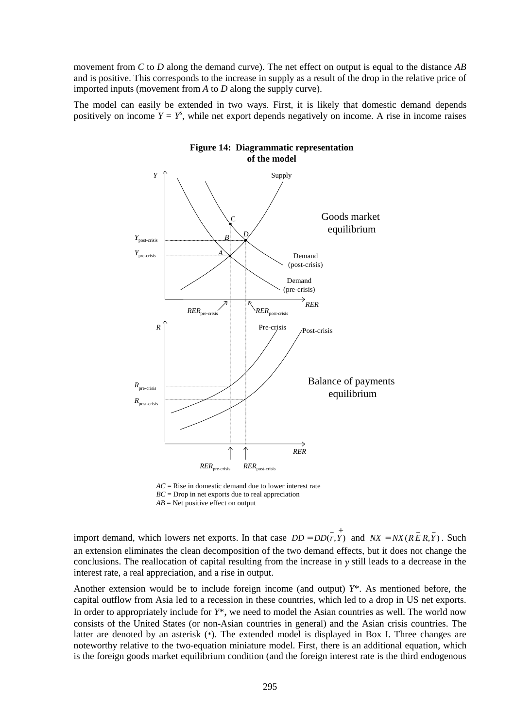movement from *C* to *D* along the demand curve). The net effect on output is equal to the distance *AB* and is positive. This corresponds to the increase in supply as a result of the drop in the relative price of imported inputs (movement from *A* to *D* along the supply curve).

The model can easily be extended in two ways. First, it is likely that domestic demand depends positively on income  $Y = Y^s$ , while net export depends negatively on income. A rise in income raises



**Figure 14: Diagrammatic representation of the model**

import demand, which lowers net exports. In that case  $DD = DD(\overline{r}, \overline{Y})$  and  $NX = NX(R\overline{E}R, \overline{Y})$ . Such an extension eliminates the clean decomposition of the two demand effects, but it does not change the conclusions. The reallocation of capital resulting from the increase in  $\gamma$  still leads to a decrease in the interest rate, a real appreciation, and a rise in output.

Another extension would be to include foreign income (and output) *Y*\*. As mentioned before, the capital outflow from Asia led to a recession in these countries, which led to a drop in US net exports. In order to appropriately include for *Y*\*, we need to model the Asian countries as well. The world now consists of the United States (or non-Asian countries in general) and the Asian crisis countries. The latter are denoted by an asterisk (\*). The extended model is displayed in Box I. Three changes are noteworthy relative to the two-equation miniature model. First, there is an additional equation, which is the foreign goods market equilibrium condition (and the foreign interest rate is the third endogenous

*AC* = Rise in domestic demand due to lower interest rate *BC* = Drop in net exports due to real appreciation *AB* = Net positive effect on output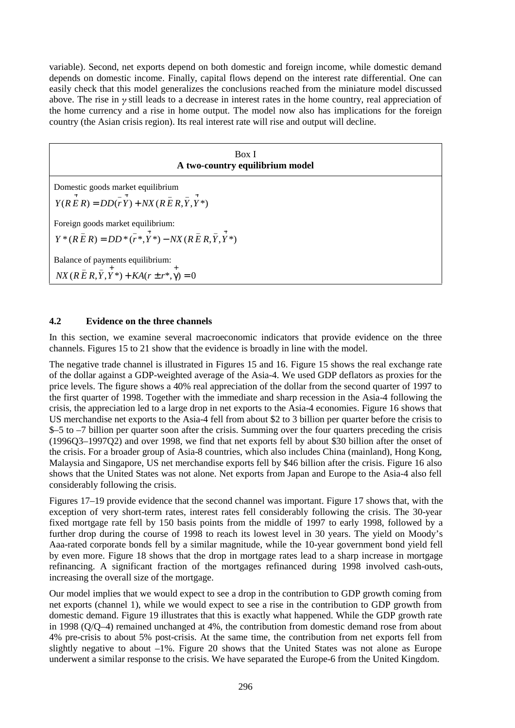variable). Second, net exports depend on both domestic and foreign income, while domestic demand depends on domestic income. Finally, capital flows depend on the interest rate differential. One can easily check that this model generalizes the conclusions reached from the miniature model discussed above. The rise in  $\gamma$  still leads to a decrease in interest rates in the home country, real appreciation of the home currency and a rise in home output. The model now also has implications for the foreign country (the Asian crisis region). Its real interest rate will rise and output will decline.

| Box I<br>A two-country equilibrium model                                                                                                            |  |  |  |  |
|-----------------------------------------------------------------------------------------------------------------------------------------------------|--|--|--|--|
| Domestic goods market equilibrium<br>$Y(R \stackrel{+}{E} R) = D D(\stackrel{-}{Y}) + N X(R \stackrel{-}{E} R, \stackrel{-}{Y}, \stackrel{+}{Y}^*)$ |  |  |  |  |
| Foreign goods market equilibrium:<br>$Y^*(R \overline{E} R) = DD^*(r^*, Y^*) - N X (R \overline{E} R, Y, Y^*)$                                      |  |  |  |  |
| Balance of payments equilibrium:<br>$NX(R\bar{E}R, \bar{Y}, Y^*) + KA(r \pm r^*, \gamma) = 0$                                                       |  |  |  |  |

## **4.2 Evidence on the three channels**

In this section, we examine several macroeconomic indicators that provide evidence on the three channels. Figures 15 to 21 show that the evidence is broadly in line with the model.

The negative trade channel is illustrated in Figures 15 and 16. Figure 15 shows the real exchange rate of the dollar against a GDP-weighted average of the Asia-4. We used GDP deflators as proxies for the price levels. The figure shows a 40% real appreciation of the dollar from the second quarter of 1997 to the first quarter of 1998. Together with the immediate and sharp recession in the Asia-4 following the crisis, the appreciation led to a large drop in net exports to the Asia-4 economies. Figure 16 shows that US merchandise net exports to the Asia-4 fell from about \$2 to 3 billion per quarter before the crisis to \$–5 to –7 billion per quarter soon after the crisis. Summing over the four quarters preceding the crisis (1996Q3–1997Q2) and over 1998, we find that net exports fell by about \$30 billion after the onset of the crisis. For a broader group of Asia-8 countries, which also includes China (mainland), Hong Kong, Malaysia and Singapore, US net merchandise exports fell by \$46 billion after the crisis. Figure 16 also shows that the United States was not alone. Net exports from Japan and Europe to the Asia-4 also fell considerably following the crisis.

Figures 17–19 provide evidence that the second channel was important. Figure 17 shows that, with the exception of very short-term rates, interest rates fell considerably following the crisis. The 30-year fixed mortgage rate fell by 150 basis points from the middle of 1997 to early 1998, followed by a further drop during the course of 1998 to reach its lowest level in 30 years. The yield on Moody's Aaa-rated corporate bonds fell by a similar magnitude, while the 10-year government bond yield fell by even more. Figure 18 shows that the drop in mortgage rates lead to a sharp increase in mortgage refinancing. A significant fraction of the mortgages refinanced during 1998 involved cash-outs, increasing the overall size of the mortgage.

Our model implies that we would expect to see a drop in the contribution to GDP growth coming from net exports (channel 1), while we would expect to see a rise in the contribution to GDP growth from domestic demand. Figure 19 illustrates that this is exactly what happened. While the GDP growth rate in 1998 (Q/Q–4) remained unchanged at 4%, the contribution from domestic demand rose from about 4% pre-crisis to about 5% post-crisis. At the same time, the contribution from net exports fell from slightly negative to about  $-1\%$ . Figure 20 shows that the United States was not alone as Europe underwent a similar response to the crisis. We have separated the Europe-6 from the United Kingdom.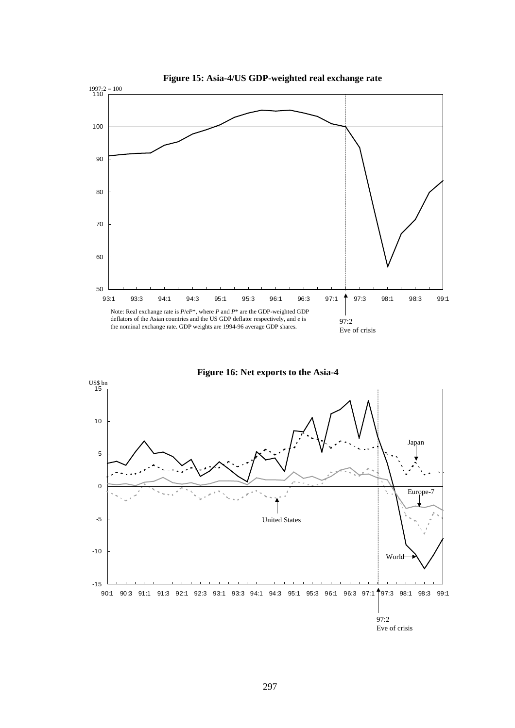



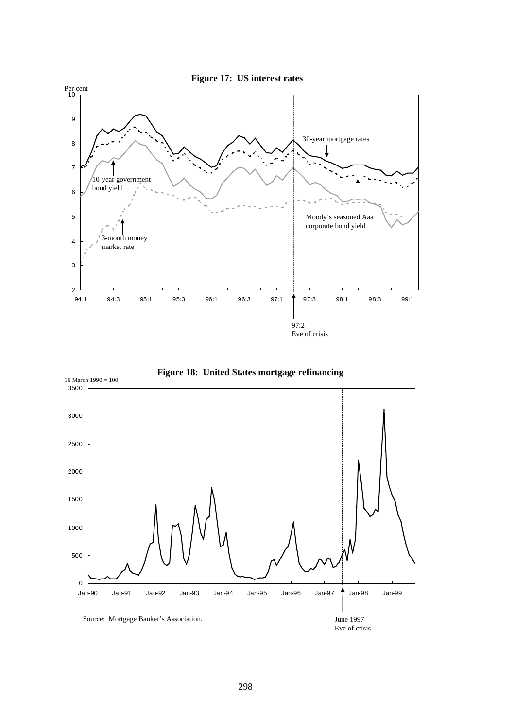



**Figure 18: United States mortgage refinancing**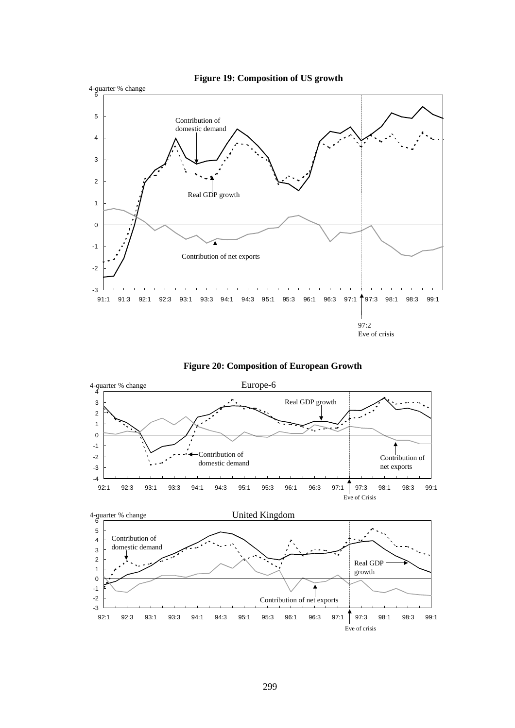



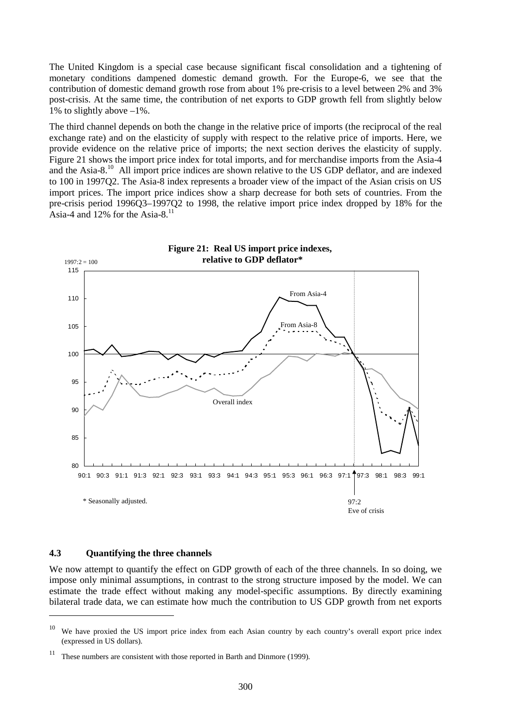The United Kingdom is a special case because significant fiscal consolidation and a tightening of monetary conditions dampened domestic demand growth. For the Europe-6, we see that the contribution of domestic demand growth rose from about 1% pre-crisis to a level between 2% and 3% post-crisis. At the same time, the contribution of net exports to GDP growth fell from slightly below 1% to slightly above  $-1\%$ .

The third channel depends on both the change in the relative price of imports (the reciprocal of the real exchange rate) and on the elasticity of supply with respect to the relative price of imports. Here, we provide evidence on the relative price of imports; the next section derives the elasticity of supply. Figure 21 shows the import price index for total imports, and for merchandise imports from the Asia-4 and the Asia-8<sup>10</sup> All import price indices are shown relative to the US GDP deflator, and are indexed to 100 in 1997Q2. The Asia-8 index represents a broader view of the impact of the Asian crisis on US import prices. The import price indices show a sharp decrease for both sets of countries. From the pre-crisis period 1996Q3–1997Q2 to 1998, the relative import price index dropped by 18% for the Asia-4 and  $12\%$  for the Asia-8.<sup>11</sup>



### **4.3 Quantifying the three channels**

 $\overline{a}$ 

We now attempt to quantify the effect on GDP growth of each of the three channels. In so doing, we impose only minimal assumptions, in contrast to the strong structure imposed by the model. We can estimate the trade effect without making any model-specific assumptions. By directly examining bilateral trade data, we can estimate how much the contribution to US GDP growth from net exports

 $10$  We have proxied the US import price index from each Asian country by each country's overall export price index (expressed in US dollars).

<sup>&</sup>lt;sup>11</sup> These numbers are consistent with those reported in Barth and Dinmore (1999).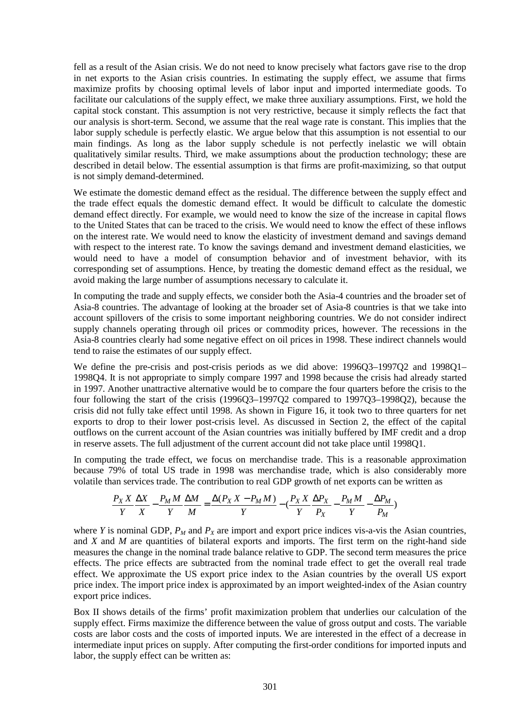fell as a result of the Asian crisis. We do not need to know precisely what factors gave rise to the drop in net exports to the Asian crisis countries. In estimating the supply effect, we assume that firms maximize profits by choosing optimal levels of labor input and imported intermediate goods. To facilitate our calculations of the supply effect, we make three auxiliary assumptions. First, we hold the capital stock constant. This assumption is not very restrictive, because it simply reflects the fact that our analysis is short-term. Second, we assume that the real wage rate is constant. This implies that the labor supply schedule is perfectly elastic. We argue below that this assumption is not essential to our main findings. As long as the labor supply schedule is not perfectly inelastic we will obtain qualitatively similar results. Third, we make assumptions about the production technology; these are described in detail below. The essential assumption is that firms are profit-maximizing, so that output is not simply demand-determined.

We estimate the domestic demand effect as the residual. The difference between the supply effect and the trade effect equals the domestic demand effect. It would be difficult to calculate the domestic demand effect directly. For example, we would need to know the size of the increase in capital flows to the United States that can be traced to the crisis. We would need to know the effect of these inflows on the interest rate. We would need to know the elasticity of investment demand and savings demand with respect to the interest rate. To know the savings demand and investment demand elasticities, we would need to have a model of consumption behavior and of investment behavior, with its corresponding set of assumptions. Hence, by treating the domestic demand effect as the residual, we avoid making the large number of assumptions necessary to calculate it.

In computing the trade and supply effects, we consider both the Asia-4 countries and the broader set of Asia-8 countries. The advantage of looking at the broader set of Asia-8 countries is that we take into account spillovers of the crisis to some important neighboring countries. We do not consider indirect supply channels operating through oil prices or commodity prices, however. The recessions in the Asia-8 countries clearly had some negative effect on oil prices in 1998. These indirect channels would tend to raise the estimates of our supply effect.

We define the pre-crisis and post-crisis periods as we did above: 1996Q3–1997Q2 and 1998Q1– 1998Q4. It is not appropriate to simply compare 1997 and 1998 because the crisis had already started in 1997. Another unattractive alternative would be to compare the four quarters before the crisis to the four following the start of the crisis (1996Q3–1997Q2 compared to 1997Q3–1998Q2), because the crisis did not fully take effect until 1998. As shown in Figure 16, it took two to three quarters for net exports to drop to their lower post-crisis level. As discussed in Section 2, the effect of the capital outflows on the current account of the Asian countries was initially buffered by IMF credit and a drop in reserve assets. The full adjustment of the current account did not take place until 1998Q1.

In computing the trade effect, we focus on merchandise trade. This is a reasonable approximation because 79% of total US trade in 1998 was merchandise trade, which is also considerably more volatile than services trade. The contribution to real GDP growth of net exports can be written as

$$
\frac{P_X X}{Y} \frac{\Delta X}{X} - \frac{P_M M}{Y} \frac{\Delta M}{M} = \frac{\Delta (P_X X - P_M M)}{Y} - \left(\frac{P_X X}{Y} \frac{\Delta P_X}{P_X} - \frac{P_M M}{Y} - \frac{\Delta P_M}{P_M}\right)
$$

where *Y* is nominal GDP,  $P_M$  and  $P_X$  are import and export price indices vis-a-vis the Asian countries, and *X* and *M* are quantities of bilateral exports and imports. The first term on the right-hand side measures the change in the nominal trade balance relative to GDP. The second term measures the price effects. The price effects are subtracted from the nominal trade effect to get the overall real trade effect. We approximate the US export price index to the Asian countries by the overall US export price index. The import price index is approximated by an import weighted-index of the Asian country export price indices.

Box II shows details of the firms' profit maximization problem that underlies our calculation of the supply effect. Firms maximize the difference between the value of gross output and costs. The variable costs are labor costs and the costs of imported inputs. We are interested in the effect of a decrease in intermediate input prices on supply. After computing the first-order conditions for imported inputs and labor, the supply effect can be written as: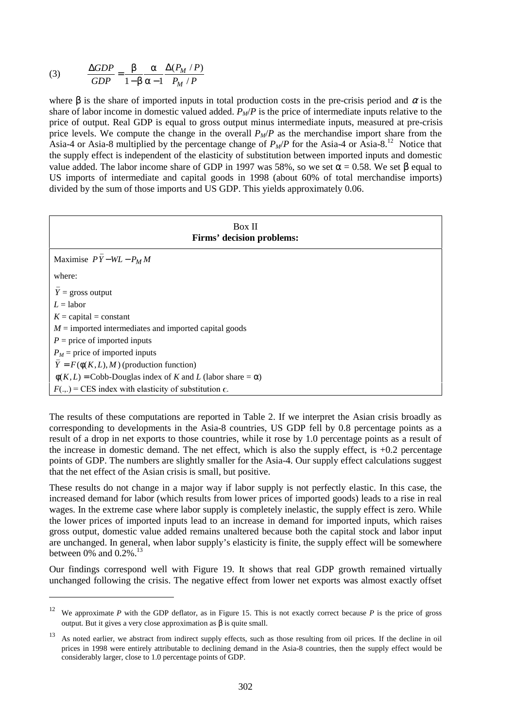(3) 
$$
\frac{\Delta GDP}{GDP} = \frac{\beta}{1 - \beta} \frac{\alpha}{\alpha - 1} \frac{\Delta(P_M / P)}{P_M / P}
$$

**.** 

where β is the share of imported inputs in total production costs in the pre-crisis period and  $\alpha$  is the share of labor income in domestic valued added.  $P_M/P$  is the price of intermediate inputs relative to the price of output. Real GDP is equal to gross output minus intermediate inputs, measured at pre-crisis price levels. We compute the change in the overall  $P_M/P$  as the merchandise import share from the Asia-4 or Asia-8 multiplied by the percentage change of  $P_M/P$  for the Asia-4 or Asia-8.<sup>12</sup> Notice that the supply effect is independent of the elasticity of substitution between imported inputs and domestic value added. The labor income share of GDP in 1997 was 58%, so we set  $\alpha$  = 0.58. We set β equal to US imports of intermediate and capital goods in 1998 (about 60% of total merchandise imports) divided by the sum of those imports and US GDP. This yields approximately 0.06.

| Box II<br>Firms' decision problems:                                    |  |  |  |  |
|------------------------------------------------------------------------|--|--|--|--|
| Maximise $PY-WL-P_MM$                                                  |  |  |  |  |
| where:                                                                 |  |  |  |  |
| $Y =$ gross output                                                     |  |  |  |  |
| $L =$ labor                                                            |  |  |  |  |
| $K =$ capital = constant                                               |  |  |  |  |
| $M =$ imported intermediates and imported capital goods                |  |  |  |  |
| $P =$ price of imported inputs                                         |  |  |  |  |
| $P_M$ = price of imported inputs                                       |  |  |  |  |
| $Y = F(\phi(K, L), M)$ (production function)                           |  |  |  |  |
| $\phi(K, L)$ = Cobb-Douglas index of K and L (labor share = $\alpha$ ) |  |  |  |  |
| $F(.,.) = CES$ index with elasticity of substitution $\epsilon$ .      |  |  |  |  |

The results of these computations are reported in Table 2. If we interpret the Asian crisis broadly as corresponding to developments in the Asia-8 countries, US GDP fell by 0.8 percentage points as a result of a drop in net exports to those countries, while it rose by 1.0 percentage points as a result of the increase in domestic demand. The net effect, which is also the supply effect, is  $+0.2$  percentage points of GDP. The numbers are slightly smaller for the Asia-4. Our supply effect calculations suggest that the net effect of the Asian crisis is small, but positive.

These results do not change in a major way if labor supply is not perfectly elastic. In this case, the increased demand for labor (which results from lower prices of imported goods) leads to a rise in real wages. In the extreme case where labor supply is completely inelastic, the supply effect is zero. While the lower prices of imported inputs lead to an increase in demand for imported inputs, which raises gross output, domestic value added remains unaltered because both the capital stock and labor input are unchanged. In general, when labor supply's elasticity is finite, the supply effect will be somewhere between 0% and  $0.2\%$ .<sup>13</sup>

Our findings correspond well with Figure 19. It shows that real GDP growth remained virtually unchanged following the crisis. The negative effect from lower net exports was almost exactly offset

<sup>12</sup> We approximate *P* with the GDP deflator, as in Figure 15. This is not exactly correct because *P* is the price of gross output. But it gives a very close approximation as β is quite small.

<sup>&</sup>lt;sup>13</sup> As noted earlier, we abstract from indirect supply effects, such as those resulting from oil prices. If the decline in oil prices in 1998 were entirely attributable to declining demand in the Asia-8 countries, then the supply effect would be considerably larger, close to 1.0 percentage points of GDP.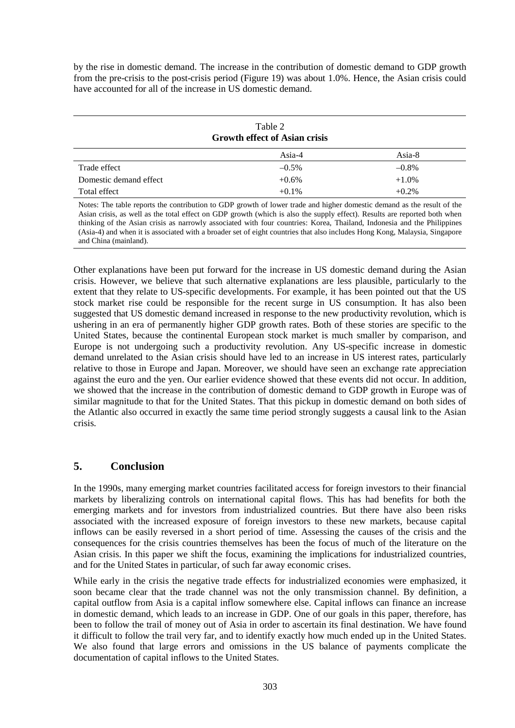by the rise in domestic demand. The increase in the contribution of domestic demand to GDP growth from the pre-crisis to the post-crisis period (Figure 19) was about 1.0%. Hence, the Asian crisis could have accounted for all of the increase in US domestic demand.

| Table 2<br><b>Growth effect of Asian crisis</b>                                                                                                                                                                                                     |          |          |  |  |
|-----------------------------------------------------------------------------------------------------------------------------------------------------------------------------------------------------------------------------------------------------|----------|----------|--|--|
|                                                                                                                                                                                                                                                     | Asia-4   | Asia-8   |  |  |
| Trade effect                                                                                                                                                                                                                                        | $-0.5\%$ | $-0.8\%$ |  |  |
| Domestic demand effect                                                                                                                                                                                                                              | $+0.6\%$ | $+1.0\%$ |  |  |
| Total effect                                                                                                                                                                                                                                        | $+0.1\%$ | $+0.2\%$ |  |  |
| Notes: The table reports the contribution to GDP growth of lower trade and higher domestic demand as the result of the<br>Asian crisis, as well as the total effect on GDP growth (which is also the sunnly effect). Results are reported both when |          |          |  |  |

wth (which is also the supply effect). thinking of the Asian crisis as narrowly associated with four countries: Korea, Thailand, Indonesia and the Philippines (Asia-4) and when it is associated with a broader set of eight countries that also includes Hong Kong, Malaysia, Singapore and China (mainland).

Other explanations have been put forward for the increase in US domestic demand during the Asian crisis. However, we believe that such alternative explanations are less plausible, particularly to the extent that they relate to US-specific developments. For example, it has been pointed out that the US stock market rise could be responsible for the recent surge in US consumption. It has also been suggested that US domestic demand increased in response to the new productivity revolution, which is ushering in an era of permanently higher GDP growth rates. Both of these stories are specific to the United States, because the continental European stock market is much smaller by comparison, and Europe is not undergoing such a productivity revolution. Any US-specific increase in domestic demand unrelated to the Asian crisis should have led to an increase in US interest rates, particularly relative to those in Europe and Japan. Moreover, we should have seen an exchange rate appreciation against the euro and the yen. Our earlier evidence showed that these events did not occur. In addition, we showed that the increase in the contribution of domestic demand to GDP growth in Europe was of similar magnitude to that for the United States. That this pickup in domestic demand on both sides of the Atlantic also occurred in exactly the same time period strongly suggests a causal link to the Asian crisis.

## **5. Conclusion**

In the 1990s, many emerging market countries facilitated access for foreign investors to their financial markets by liberalizing controls on international capital flows. This has had benefits for both the emerging markets and for investors from industrialized countries. But there have also been risks associated with the increased exposure of foreign investors to these new markets, because capital inflows can be easily reversed in a short period of time. Assessing the causes of the crisis and the consequences for the crisis countries themselves has been the focus of much of the literature on the Asian crisis. In this paper we shift the focus, examining the implications for industrialized countries, and for the United States in particular, of such far away economic crises.

While early in the crisis the negative trade effects for industrialized economies were emphasized, it soon became clear that the trade channel was not the only transmission channel. By definition, a capital outflow from Asia is a capital inflow somewhere else. Capital inflows can finance an increase in domestic demand, which leads to an increase in GDP. One of our goals in this paper, therefore, has been to follow the trail of money out of Asia in order to ascertain its final destination. We have found it difficult to follow the trail very far, and to identify exactly how much ended up in the United States. We also found that large errors and omissions in the US balance of payments complicate the documentation of capital inflows to the United States.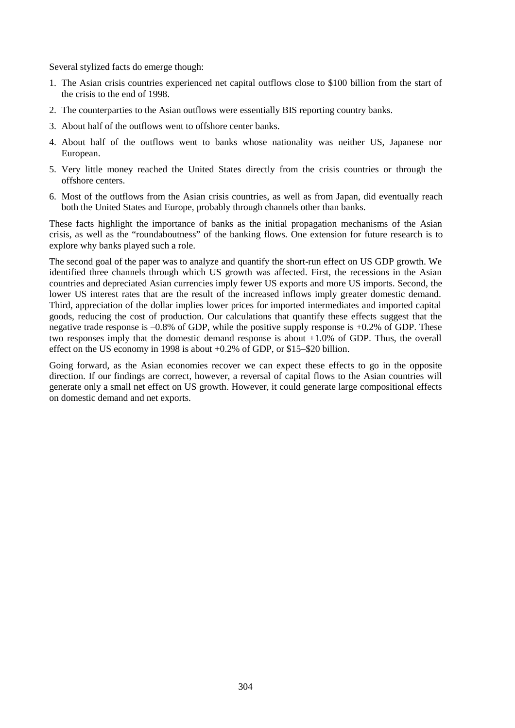Several stylized facts do emerge though:

- 1. The Asian crisis countries experienced net capital outflows close to \$100 billion from the start of the crisis to the end of 1998.
- 2. The counterparties to the Asian outflows were essentially BIS reporting country banks.
- 3. About half of the outflows went to offshore center banks.
- 4. About half of the outflows went to banks whose nationality was neither US, Japanese nor European.
- 5. Very little money reached the United States directly from the crisis countries or through the offshore centers.
- 6. Most of the outflows from the Asian crisis countries, as well as from Japan, did eventually reach both the United States and Europe, probably through channels other than banks.

These facts highlight the importance of banks as the initial propagation mechanisms of the Asian crisis, as well as the "roundaboutness" of the banking flows. One extension for future research is to explore why banks played such a role.

The second goal of the paper was to analyze and quantify the short-run effect on US GDP growth. We identified three channels through which US growth was affected. First, the recessions in the Asian countries and depreciated Asian currencies imply fewer US exports and more US imports. Second, the lower US interest rates that are the result of the increased inflows imply greater domestic demand. Third, appreciation of the dollar implies lower prices for imported intermediates and imported capital goods, reducing the cost of production. Our calculations that quantify these effects suggest that the negative trade response is  $-0.8\%$  of GDP, while the positive supply response is  $+0.2\%$  of GDP. These two responses imply that the domestic demand response is about +1.0% of GDP. Thus, the overall effect on the US economy in 1998 is about +0.2% of GDP, or \$15–\$20 billion.

Going forward, as the Asian economies recover we can expect these effects to go in the opposite direction. If our findings are correct, however, a reversal of capital flows to the Asian countries will generate only a small net effect on US growth. However, it could generate large compositional effects on domestic demand and net exports.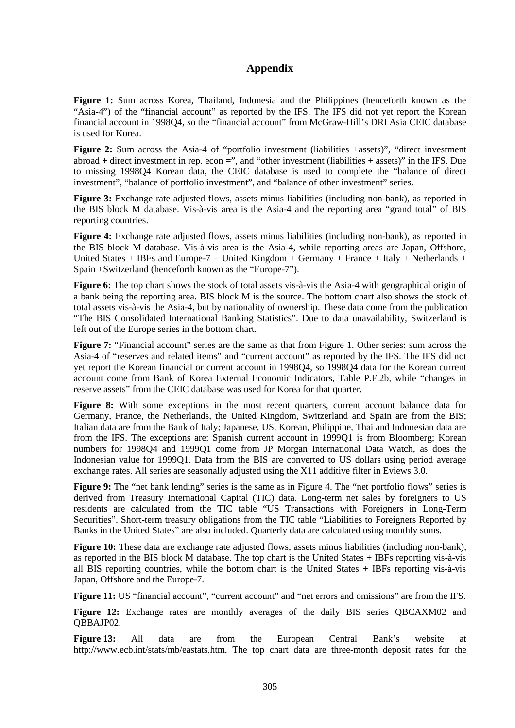# **Appendix**

**Figure 1:** Sum across Korea, Thailand, Indonesia and the Philippines (henceforth known as the "Asia-4") of the "financial account" as reported by the IFS. The IFS did not yet report the Korean financial account in 1998Q4, so the "financial account" from McGraw-Hill's DRI Asia CEIC database is used for Korea.

**Figure 2:** Sum across the Asia-4 of "portfolio investment (liabilities +assets)", "direct investment abroad + direct investment in rep. econ  $=$ ", and "other investment (liabilities + assets)" in the IFS. Due to missing 1998Q4 Korean data, the CEIC database is used to complete the "balance of direct investment", "balance of portfolio investment", and "balance of other investment" series.

**Figure 3:** Exchange rate adjusted flows, assets minus liabilities (including non-bank), as reported in the BIS block M database. Vis-à-vis area is the Asia-4 and the reporting area "grand total" of BIS reporting countries.

**Figure 4:** Exchange rate adjusted flows, assets minus liabilities (including non-bank), as reported in the BIS block M database. Vis-à-vis area is the Asia-4, while reporting areas are Japan, Offshore, United States + IBFs and Europe-7 = United Kingdom + Germany + France + Italy + Netherlands + Spain +Switzerland (henceforth known as the "Europe-7").

**Figure 6:** The top chart shows the stock of total assets vis-à-vis the Asia-4 with geographical origin of a bank being the reporting area. BIS block M is the source. The bottom chart also shows the stock of total assets vis-à-vis the Asia-4, but by nationality of ownership. These data come from the publication "The BIS Consolidated International Banking Statistics". Due to data unavailability, Switzerland is left out of the Europe series in the bottom chart.

**Figure 7:** "Financial account" series are the same as that from Figure 1. Other series: sum across the Asia-4 of "reserves and related items" and "current account" as reported by the IFS. The IFS did not yet report the Korean financial or current account in 1998Q4, so 1998Q4 data for the Korean current account come from Bank of Korea External Economic Indicators, Table P.F.2b, while "changes in reserve assets" from the CEIC database was used for Korea for that quarter.

**Figure 8:** With some exceptions in the most recent quarters, current account balance data for Germany, France, the Netherlands, the United Kingdom, Switzerland and Spain are from the BIS; Italian data are from the Bank of Italy; Japanese, US, Korean, Philippine, Thai and Indonesian data are from the IFS. The exceptions are: Spanish current account in 1999Q1 is from Bloomberg; Korean numbers for 1998Q4 and 1999Q1 come from JP Morgan International Data Watch, as does the Indonesian value for 1999Q1. Data from the BIS are converted to US dollars using period average exchange rates. All series are seasonally adjusted using the X11 additive filter in Eviews 3.0.

**Figure 9:** The "net bank lending" series is the same as in Figure 4. The "net portfolio flows" series is derived from Treasury International Capital (TIC) data. Long-term net sales by foreigners to US residents are calculated from the TIC table "US Transactions with Foreigners in Long-Term Securities". Short-term treasury obligations from the TIC table "Liabilities to Foreigners Reported by Banks in the United States" are also included. Quarterly data are calculated using monthly sums.

Figure 10: These data are exchange rate adjusted flows, assets minus liabilities (including non-bank), as reported in the BIS block M database. The top chart is the United States + IBFs reporting vis-à-vis all BIS reporting countries, while the bottom chart is the United States + IBFs reporting vis-à-vis Japan, Offshore and the Europe-7.

**Figure 11:** US "financial account", "current account" and "net errors and omissions" are from the IFS.

**Figure 12:** Exchange rates are monthly averages of the daily BIS series QBCAXM02 and OBBAJP02.

**Figure 13:** All data are from the European Central Bank's website at http://www.ecb.int/stats/mb/eastats.htm. The top chart data are three-month deposit rates for the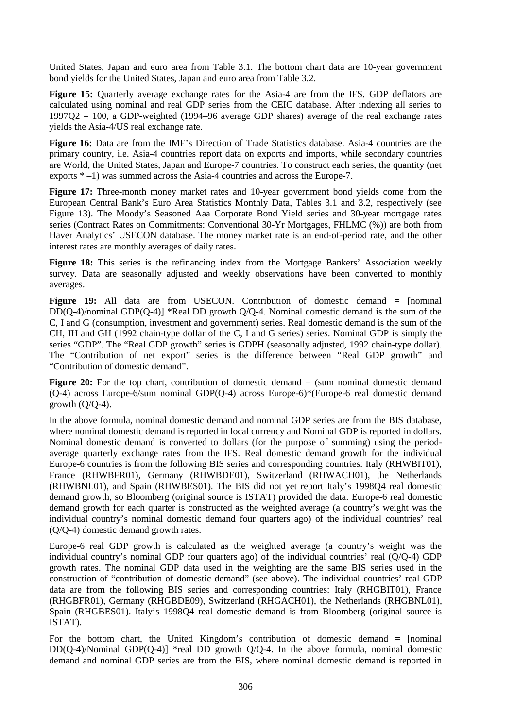United States, Japan and euro area from Table 3.1. The bottom chart data are 10-year government bond yields for the United States, Japan and euro area from Table 3.2.

**Figure 15:** Quarterly average exchange rates for the Asia-4 are from the IFS. GDP deflators are calculated using nominal and real GDP series from the CEIC database. After indexing all series to  $1997Q2 = 100$ , a GDP-weighted (1994–96 average GDP shares) average of the real exchange rates yields the Asia-4/US real exchange rate.

**Figure 16:** Data are from the IMF's Direction of Trade Statistics database. Asia-4 countries are the primary country, i.e. Asia-4 countries report data on exports and imports, while secondary countries are World, the United States, Japan and Europe-7 countries. To construct each series, the quantity (net exports \* –1) was summed across the Asia-4 countries and across the Europe-7.

**Figure 17:** Three-month money market rates and 10-year government bond yields come from the European Central Bank's Euro Area Statistics Monthly Data, Tables 3.1 and 3.2, respectively (see Figure 13). The Moody's Seasoned Aaa Corporate Bond Yield series and 30-year mortgage rates series (Contract Rates on Commitments: Conventional 30-Yr Mortgages, FHLMC (%)) are both from Haver Analytics' USECON database. The money market rate is an end-of-period rate, and the other interest rates are monthly averages of daily rates.

Figure 18: This series is the refinancing index from the Mortgage Bankers' Association weekly survey. Data are seasonally adjusted and weekly observations have been converted to monthly averages.

Figure 19: All data are from USECON. Contribution of domestic demand = [nominal  $DD(Q-4)/nominal GDP(Q-4)$ ] \*Real DD growth  $Q/Q-4$ . Nominal domestic demand is the sum of the C, I and G (consumption, investment and government) series. Real domestic demand is the sum of the CH, IH and GH (1992 chain-type dollar of the C, I and G series) series. Nominal GDP is simply the series "GDP". The "Real GDP growth" series is GDPH (seasonally adjusted, 1992 chain-type dollar). The "Contribution of net export" series is the difference between "Real GDP growth" and "Contribution of domestic demand".

Figure 20: For the top chart, contribution of domestic demand = (sum nominal domestic demand (Q-4) across Europe-6/sum nominal GDP(Q-4) across Europe-6)\*(Europe-6 real domestic demand growth  $(Q/Q-4)$ .

In the above formula, nominal domestic demand and nominal GDP series are from the BIS database, where nominal domestic demand is reported in local currency and Nominal GDP is reported in dollars. Nominal domestic demand is converted to dollars (for the purpose of summing) using the periodaverage quarterly exchange rates from the IFS. Real domestic demand growth for the individual Europe-6 countries is from the following BIS series and corresponding countries: Italy (RHWBIT01), France (RHWBFR01), Germany (RHWBDE01), Switzerland (RHWACH01), the Netherlands (RHWBNL01), and Spain (RHWBES01). The BIS did not yet report Italy's 1998Q4 real domestic demand growth, so Bloomberg (original source is ISTAT) provided the data. Europe-6 real domestic demand growth for each quarter is constructed as the weighted average (a country's weight was the individual country's nominal domestic demand four quarters ago) of the individual countries' real (Q/Q-4) domestic demand growth rates.

Europe-6 real GDP growth is calculated as the weighted average (a country's weight was the individual country's nominal GDP four quarters ago) of the individual countries' real (Q/Q-4) GDP growth rates. The nominal GDP data used in the weighting are the same BIS series used in the construction of "contribution of domestic demand" (see above). The individual countries' real GDP data are from the following BIS series and corresponding countries: Italy (RHGBIT01), France (RHGBFR01), Germany (RHGBDE09), Switzerland (RHGACH01), the Netherlands (RHGBNL01), Spain (RHGBES01). Italy's 1998Q4 real domestic demand is from Bloomberg (original source is ISTAT).

For the bottom chart, the United Kingdom's contribution of domestic demand = [nominal DD(Q-4)/Nominal GDP(Q-4)] \*real DD growth  $O/O-4$ . In the above formula, nominal domestic demand and nominal GDP series are from the BIS, where nominal domestic demand is reported in